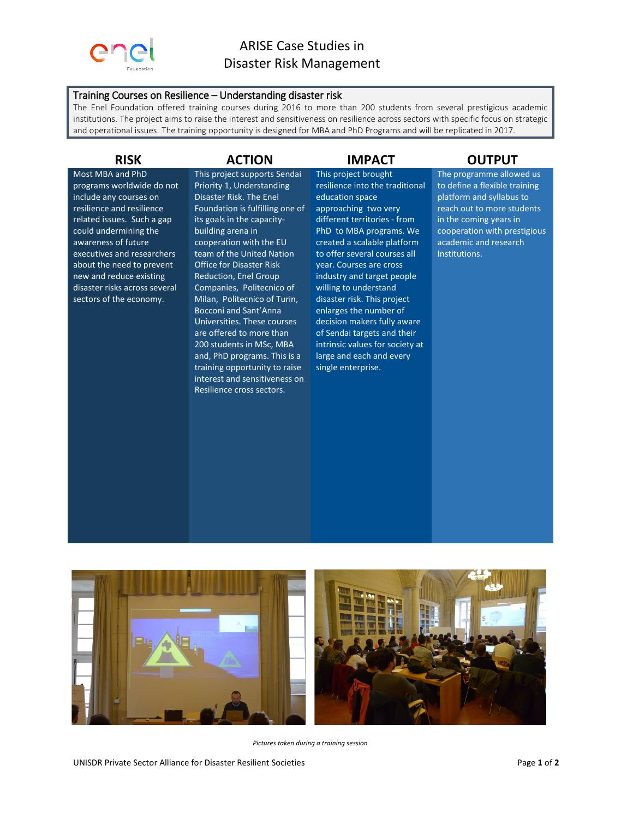

## Training Courses on Resilience – Understanding disaster risk

The Enel Foundation offered training courses during 2016 to more than 200 students from several prestigious academic institutions. The project aims to raise the interest and sensitiveness on resilience across sectors with specific focus on strategic and operational issues. The training opportunity is designed for MBA and PhD Programs and will be replicated in 2017.

Most MBA and PhD programs worldwide do not include any courses on resilience and resilience related issues. Such a gap could undermining the awareness of future executives and researchers about the need to prevent new and reduce existing disaster risks across several sectors of the economy.

This project supports Sendai Priority 1, Understanding Disaster Risk. The Enel Foundation is fulfilling one of its goals in the capacitybuilding arena in cooperation with the EU team of the United Nation Office for Disaster Risk Reduction, Enel Group Companies, Politecnico of Milan, Politecnico of Turin, Bocconi and Sant'Anna Universities. These courses are offered to more than 200 students in MSc, MBA and, PhD programs. This is a training opportunity to raise interest and sensitiveness on Resilience cross sectors.

This project brought resilience into the traditional education space approaching two very different territories - from PhD to MBA programs. We created a scalable platform to offer several courses all year. Courses are cross industry and target people willing to understand disaster risk. This project enlarges the number of decision makers fully aware of Sendai targets and their intrinsic values for society at large and each and every single enterprise.

## **RISK ACTION IMPACT OUTPUT**

The programme allowed us to define a flexible training platform and syllabus to reach out to more students in the coming years in cooperation with prestigious academic and research Institutions.



*Pictures taken during a training session*